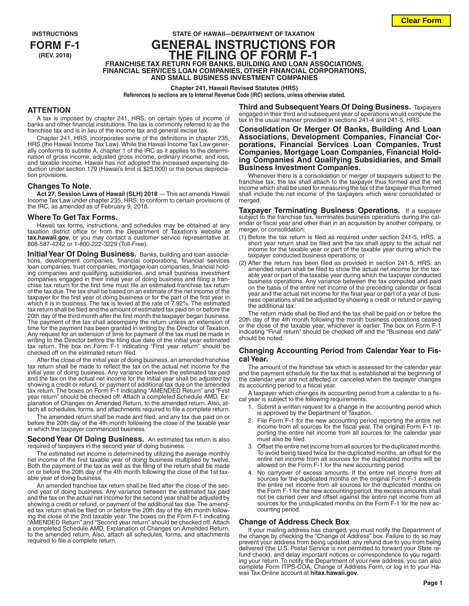# **INSTRUCTIONS STATE OF HAWAII—DEPARTMENT OF TAXATION FORM F-1 GENERAL INSTRUCTIONS FOR (REV. 2018) THE FILING OF FORM F-1 FRANCHISE TAX RETURN FOR BANKS, BUILDING AND LOAN ASSOCIATIONS, FINANCIAL SERVICES LOAN COMPANIES, OTHER FINANCIAL CORPORATIONS, AND SMALL BUSINESS INVESTMENT COMPANIES**

#### **Chapter 241, Hawaii Revised Statutes (HRS)**

**References to sections are to Internal Revenue Code (IRC) sections, unless otherwise stated.**

### **ATTENTION**

A tax is imposed by chapter 241, HRS, on certain types of income of banks and other financial institutions. The tax is commonly referred to as the franchise tax and is in lieu of the income tax and general excise tax.

Chapter 241, HRS, incorporates some of the definitions in chapter 235, HRS (the Hawaii Income Tax Law). While the Hawaii Income Tax Law generally conforms to subtitle A, chapter 1 of the IRC as it applies to the determination of gross income, adjusted gross income, ordinary income, and loss, and taxable income, Hawaii has not adopted the increased expensing deduction under section 179 (Hawaii's limit is \$25,000) or the bonus depreciation provisions.

#### **Changes To Note.**

**Act 27, Session Laws of Hawaii (SLH) 2018** — This act amends Hawaii Income Tax Law under chapter 235, HRS, to conform to certain provisions of the IRC, as amended as of February 9, 2018.

#### **Where To Get Tax Forms.**

Hawaii tax forms, instructions, and schedules may be obtained at any taxation district office or from the Department of Taxation's website at **tax.hawaii.gov**, or you may contact a customer service representative at: 808-587-4242 or 1-800-222-3229 (Toll-Free).

**Initial Year Of Doing Business.** Banks, building and loan associations, development companies, financial corporations, financial services loan companies, trust companies, mortgage loan companies, financial holding companies and qualifying subsidiaries, and small business investment companies engaged in their initial year of doing business and filing a franchise tax return for the first time must file an estimated franchise tax return of the tax due. The tax shall be based on an estimate of the net income of the taxpayer for the first year of doing business or for the part of the first year in which it is in business. The tax is levied at the rate of 7.92%. The estimated tax return shall be filed and the amount of estimated tax paid on or before the 20th day of the third month after the first month the taxpayer began business. The payment of the tax shall accompany the return unless an extension of time for the payment has been granted in writing by the Director of Taxation. Any request for an extension of time for payment of the tax must be made in writing to the Director before the filing due date of the initial year estimated tax return. The box on Form F-1 indicating "First year return" should be checked off on the estimated return filed.

After the close of the initial year of doing business, an amended franchise tax return shall be made to reflect the tax on the actual net income for the initial year of doing business. Any variance between the estimated tax paid and the tax on the actual net income for the initial year shall be adjusted by showing a credit or refund, or payment of additional tax due on the amended tax return. The boxes on Form F-1 indicating "AMENDED Return" and "First year return" should be checked off. Attach a completed Schedule AMD, Explanation of Changes on Amended Return, to the amended return. Also, attach all schedules, forms, and attachments required to file a complete return.

The amended return shall be made and filed, and any tax due paid on or before the 20th day of the 4th month following the close of the taxable year in which the taxpayer commenced business.

#### **Second Year Of Doing Business.** An estimated tax return is also required of taxpayers in the second year of doing business.

The estimated net income is determined by utilizing the average monthly net income of the first taxable year of doing business multiplied by twelve. Both the payment of the tax as well as the filing of the return shall be made on or before the 20th day of the 4th month following the close of the 1st taxable year of doing business.

An amended franchise tax return shall be filed after the close of the second year of doing business. Any variance between the estimated tax paid and the tax on the actual net income for the second year shall be adjusted by showing a credit or refund, or payment of the additional tax due. The amended tax return shall be filed on or before the 20th day of the 4th month follow-ing the close of the 2nd taxable year. The boxes on the Form F-1 indicating "AMENDED Return" and "Second year return" should be checked off. Attach a completed Schedule AMD, Explanation of Changes on Amended Return, to the amended return. Also, attach all schedules, forms, and attachments required to file a complete return.

**Third and Subsequent Years Of Doing Business.** Taxpayers engaged in their third and subsequent year of operations would compute the tax in the usual manner provided in sections 241-4 and 241-5, HRS.

**Consolidation Or Merger Of Banks, Building And Loan Associations, Development Companies, Financial Cor- porations, Financial Services Loan Companies, Trust Companies, Mortgage Loan Companies, Financial Hold- ing Companies And Qualifying Subsidiaries, and Small Business Investment Companies.**

Whenever there is a consolidation or merger of taxpayers subject to the franchise tax, the tax shall attach to the taxpayer thus formed and the net income which shall be used for measuring the tax of the taxpayer thus formed shall include the net income of the taxpayers which were consolidated or merged.

**Taxpayer Terminating Business Operations.** If a taxpayer subject to the franchise tax, terminates business operations during the calendar or fiscal year and other than in an acquisition by another company, or merger, or consolidation:

- (1) Before the tax return is filed as required under section 241-5, HRS, a short year return shall be filed and the tax shall apply to the actual net income for the taxable year or part of the taxable year during which the taxpayer conducted business operations; or
- (2) After the return has been filed as provided in section 241-5, HRS, an amended return shall be filed to show the actual net income for the taxable year or part of the taxable year during which the taxpayer conducted business operations. Any variance between the tax computed and paid on the basis of the entire net income of the preceding calendar or fiscal year and the actual net income for the final year or part of a year of business operations shall be adjusted by showing a credit or refund or paying the additional tax.

The return made shall be filed and the tax shall be paid on or before the 20th day of the 4th month following the month business operations ceased or the close of the taxable year, whichever is earlier. The box on Form F-1 indicating "Final return" should be checked off and the "Business end date" should be noted.

### **Changing Accounting Period from Calendar Year to Fiscal Year.**

The amount of the franchise tax which is assessed for the calendar year and the payment schedule for the tax that is established at the beginning of the calendar year are not affected or canceled when the taxpayer changes its accounting period to a fiscal year.

A taxpayer which changes its accounting period from a calendar to a fiscal year is subject to the following requirements:

- Submit a written request for a change in the accounting period which is approved by the Department of Taxation.
- 2. File Form F-1 for the new accounting period reporting the entire net income from all sources for the fiscal year. The original Form F-1 reporting the entire net income from all sources for the calendar year must also be filed.
- 3. Offset the entire net income from all sources for the duplicated months. To avoid being taxed twice for the duplicated months, an offset for the entire net income from all sources for the duplicated months will be allowed on the Form F-1 for the new accounting period.
- 4. No carryover of excess amounts. If the entire net income from all sources for the duplicated months on the original Form F-1 exceeds the entire net income from all sources for the duplicated months on the Form F-1 for the new accounting period, the excess amounts shall not be carried over and offset against the entire net income from all sources for the unduplicated months on the Form F-1 for the new accounting period.

#### **Change of Address Check Box**

If your mailing address has changed, you must notify the Department of the change by checking the "Change of Address" box. Failure to do so may prevent your address from being updated, any refund due to you from being delivered (the U.S. Postal Service is not permitted to forward your State refund check), and delay important notices or correspondence to you regarding your return. To notify the Department of your new address, you can also complete Form ITPS-COA, Change of Address Form, or log in to your Hawaii Tax Online account at **hitax.hawaii.gov**.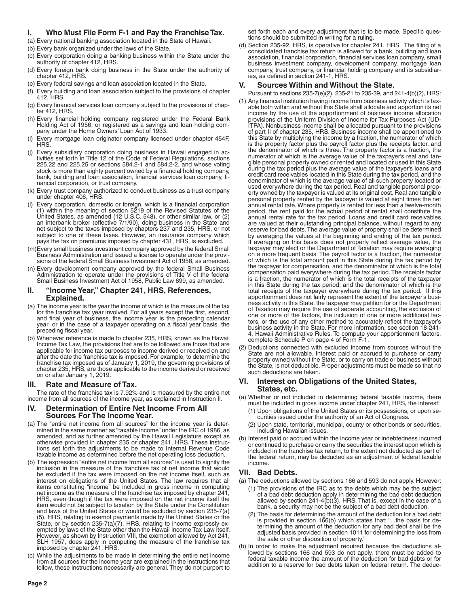# **I. Who Must File Form F-1 and Pay the Franchise Tax.**

- (a) Every national banking association located in the State of Hawaii.
- (b) Every bank organized under the laws of the State.
- (c) Every corporation doing a banking business within the State under the authority of chapter 412, HRS.
- (d) Every foreign bank doing business in the State under the authority of chapter 412, HRS.
- (e) Every federal savings and loan association located in the State.
- (f) Every building and loan association subject to the provisions of chapter 412 HRS
- (g) Every financial services loan company subject to the provisions of chapter 412, HRS.
- (h) Every financial holding company registered under the Federal Bank Holding Act of 1956, or registered as a savings and loan holding company under the Home Owners' Loan Act of 1933.
- Every mortgage loan originator company licensed under chapter 454F, **HRS**
- (j) Every subsidiary corporation doing business in Hawaii engaged in activities set forth in Title 12 of the Code of Federal Regulations, sections 225.22 and 225.25 or sections 584.2-1 and 584.2-2, and whose voting stock is more than eighty percent owned by a financial holding company, bank, building and loan association, financial services loan company, financial corporation, or trust company.
- (k) Every trust company authorized to conduct business as a trust company under chapter 406, HRS.
- (l) Every corporation, domestic or foreign, which is a financial corporation (1) within the meaning of section 5219 of the Revised Statutes of the United States, as amended (12 U.S.C. 548), or other similar law, or (2) an interbank broker (effective 7/1/90), doing business in the State and not subject to the taxes imposed by chapters 237 and 235, HRS, or not subject to one of these taxes. However, an insurance company which pays the tax on premiums imposed by chapter 431, HRS, is excluded.
- (m)Every small business investment company approved by the federal Small Business Administration and issued a license to operate under the provisions of the federal Small Business Investment Act of 1958, as amended.
- (n) Every development company approved by the federal Small Business Administration to operate under the provisions of Title V of the federal Small Business Investment Act of 1958, Public Law 699, as amended.

### **II. "Income Year," Chapter 241, HRS, References, Explained.**

- (a) The income year is the year the income of which is the measure of the tax for the franchise tax year involved. For all years except the first, second, and final year of business, the income year is the preceding calendar year, or in the case of a taxpayer operating on a fiscal year basis, the preceding fiscal year.
- (b) Whenever reference is made to chapter 235, HRS, known as the Hawaii Income Tax Law, the provisions that are to be followed are those that are applicable for income tax purposes to income derived or received on and after the date the franchise tax is imposed. For example, to determine the franchise tax imposed as of January 1, 2019, the governing provisions of chapter 235, HRS, are those applicable to the income derived or received on or after January 1, 2019.

# **III. Rate and Measure of Tax.**

The rate of the franchise tax is 7.92% and is measured by the entire net income from all sources of the income year, as explained in Instruction II.

### **IV. Determination of Entire Net Income From All Sources For The Income Year.**

- (a) The "entire net income from all sources" for the income year is determined in the same manner as "taxable income" under the IRC of 1986, as amended, and as further amended by the Hawaii Legislature except as otherwise provided in chapter 235 or chapter 241, HRS. These instructions set forth the adjustments to be made to Internal Revenue Code taxable income as determined before the net operating loss deduction.
- (b) The expression "entire net income from all sources" is used to signify the inclusion in the measure of the franchise tax of net income that would be excluded if the tax were imposed on the net income itself, such as interest on obligations of the United States. The law requires that all items constituting "income" be included in gross income in computing net income as the measure of the franchise tax imposed by chapter 241, HRS, even though if the tax were imposed on the net income itself the item would not be subject to taxation by the State under the Constitution and laws of the United States or would be excluded by section 235-7(a) (5), HRS, relating to exempt payments made by the United States or the State, or by section 235-7(a)(7), HRS, relating to income expressly exempted by laws of the State other than the Hawaii Income Tax Law itself. However, as shown by Instruction VIII, the exemption allowed by Act 241, SLH 1957, does apply in computing the measure of the franchise tax imposed by chapter 241, HRS.
- (c) While the adjustments to be made in determining the entire net income from all sources for the income year are explained in the instructions that follow, these instructions necessarily are general. They do not purport to

set forth each and every adjustment that is to be made. Specific questions should be submitted in writing for a ruling.

(d) Section 235-92, HRS, is operative for chapter 241, HRS. The filing of a consolidated franchise tax return is allowed for a bank, building and loan association, financial corporation, financial services loan company, small business investment company, development company, mortgage loan company, trust company, or financial holding company and its subsidiaries, as defined in section 241-1, HRS.

# **V. Sources Within and Without the State.**

- Pursuant to sections 235-7(e)(2), 235-21 to 235-39, and 241-4(b)(2), HRS: (1) Any financial institution having income from business activity which is taxable both within and without this State shall allocate and apportion its net income by the use of the apportionment of business income allocation provisions of the Uniform Division of Income for Tax Purposes Act (UD-ITPA). Nonbusiness income shall be allocated pursuant to the provisions of part II of chapter 235, HRS. Business income shall be apportioned to this State by multiplying the income by a fraction, the numerator of which is the property factor plus the payroll factor plus the receipts factor, and the denominator of which is three. The property factor is a fraction, the numerator of which is the average value of the taxpayer's real and tangible personal property owned or rented and located or used in this State during the tax period plus the average value of the taxpayer's loans and credit card receivables located in this State during the tax period, and the denominator of which is the average value of all such property located or used everywhere during the tax period. Real and tangible personal property owned by the taxpayer is valued at its original cost. Real and tangible personal property rented by the taxpayer is valued at eight times the net annual rental rate. Where property is rented for less than a twelve-month period, the rent paid for the actual period of rental shall constitute the annual rental rate for the tax period. Loans and credit card receivables are valued at their outstanding principal balance, without regard to any reserve for bad debts. The average value of property shall be determined by averaging the values at the beginning and ending of the tax period. If averaging on this basis does not properly reflect average value, the taxpayer may elect or the Department of Taxation may require averaging on a more frequent basis. The payroll factor is a fraction, the numerator of which is the total amount paid in this State during the tax period by the taxpayer for compensation, and the denominator of which is the total compensation paid everywhere during the tax period. The receipts factor is a fraction, the numerator of which is the total receipts of the taxpayer in this State during the tax period, and the denominator of which is the total receipts of the taxpayer everywhere during the tax period. If this apportionment does not fairly represent the extent of the taxpayer's business activity in this State, the taxpayer may petition for or the Department of Taxation may require the use of separate accounting, the exclusion of one or more of the factors, the inclusion of one or more additional factors, or the use of any other method to accurately reflect the taxpayer's business activity in the State. For more information, see section 18-241- 4, Hawaii Administrative Rules. To compute your apportionment factors, complete Schedule P on page 4 of Form F-1.
- (2) Deductions connected with excluded income from sources without the State are not allowable. Interest paid or accrued to purchase or carry property owned without the State, or to carry on trade or business without the State, is not deductible. Proper adjustments must be made so that no such deductions are taken.

# **VI. Interest on Obligations of the United States, States, etc.**

- (a) Whether or not included in determining federal taxable income, there must be included in gross income under chapter 241, HRS, the interest:
	- (1) Upon obligations of the United States or its possessions, or upon securities issued under the authority of an Act of Congress.
	- (2) Upon state, territorial, municipal, county or other bonds or securities, including Hawaiian issues.
- (b) Interest paid or accrued within the income year or indebtedness incurred or continued to purchase or carry the securities the interest upon which is included in the franchise tax return, to the extent not deducted as part of the federal return, may be deducted as an adjustment of federal taxable income.

# **VII. Bad Debts.**

(a) The deductions allowed by sections 166 and 593 do not apply. However:

- (1) The provisions of the IRC as to the debts which may be the subject of a bad debt deduction apply in determining the bad debt deduction allowed by section 241-4(b)(3), HRS. That is, except in the case of a bank, a security may not be the subject of a bad debt deduction.
- (2) The basis for determining the amount of the deduction for a bad debt is provided in section 166(b) which states that: "...the basis for determining the amount of the deduction for any bad debt shall be the adjusted basis provided in section 1011 for determining the loss from the sale or other disposition of property."
- (b) In order to make the adjustment required because the deductions allowed by sections 166 and 593 do not apply, there must be added to federal taxable income the amount of the deduction for bad debts or for addition to a reserve for bad debts taken on federal return. The deduc-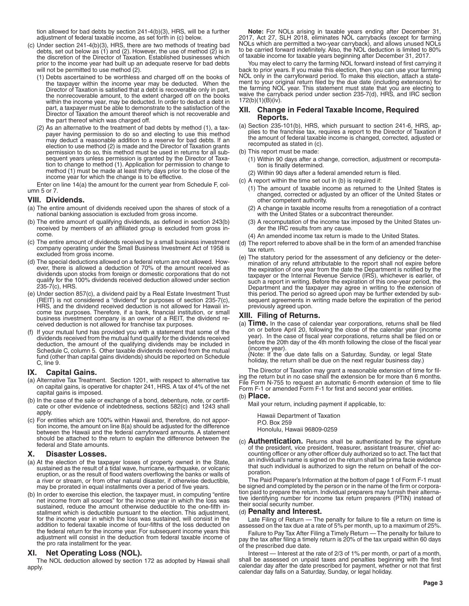tion allowed for bad debts by section 241-4(b)(3), HRS, will be a further adjustment of federal taxable income, as set forth in (c) below.

- (c) Under section 241-4(b)(3), HRS, there are two methods of treating bad debts, set out below as (1) and (2). However, the use of method (2) is in the discretion of the Director of Taxation. Established businesses which prior to the income year had built up an adequate reserve for bad debts will not be permitted to use method (2).
	- (1) Debts ascertained to be worthless and charged off on the books of the taxpayer within the income year may be deducted. When the Director of Taxation is satisfied that a debt is recoverable only in part, the nonrecoverable amount, to the extent charged off on the books within the income year, may be deducted. In order to deduct a debt in part, a taxpayer must be able to demonstrate to the satisfaction of the Director of Taxation the amount thereof which is not recoverable and the part thereof which was charged off.
	- (2) As an alternative to the treatment of bad debts by method (1), a taxpayer having permission to do so and electing to use this method may deduct a reasonable addition to a reserve for bad debts. If an election to use method (2) is made and the Director of Taxation grants permission to do so, this method must be used in returns for all subsequent years unless permission is granted by the Director of Taxation to change to method (1). Application for permission to change to method (1) must be made at least thirty days prior to the close of the income year for which the change is to be effective.

Enter on line 14(a) the amount for the current year from Schedule F, column 5 or 7.

### **VIII. Dividends.**

- (a) The entire amount of dividends received upon the shares of stock of a national banking association is excluded from gross income.
- (b) The entire amount of qualifying dividends, as defined in section 243(b) received by members of an affiliated group is excluded from gross income.
- (c) The entire amount of dividends received by a small business investment company operating under the Small Business Investment Act of 1958 is excluded from gross income.
- (d) The special deductions allowed on a federal return are not allowed. However, there is allowed a deduction of 70% of the amount received as dividends upon stocks from foreign or domestic corporations that do not qualify for the 100% dividends received deduction allowed under section 235-7(c), HRS.
- (e) Under section 857(c), a dividend paid by a Real Estate Investment Trust REIT) is not considered a "dividend" for purposes of section 235-7(c), HRS, and the dividend received deduction is not allowed for Hawaii income tax purposes. Therefore, if a bank, financial institution, or small business investment company is an owner of a REIT, the dividend received deduction is not allowed for franchise tax purposes.
- (f) If your mutual fund has provided you with a statement that some of the dividends received from the mutual fund qualify for the dividends received deduction, the amount of the qualifying dividends may be included in Schedule C, column 5. Other taxable dividends received from the mutual fund (other than capital gains dividends) should be reported on Schedule C, line 9.

# **IX. Capital Gains.**

- (a) Alternative Tax Treatment. Section 1201, with respect to alternative tax on capital gains, is operative for chapter 241, HRS. A tax of 4% of the net capital gains is imposed.
- (b) In the case of the sale or exchange of a bond, debenture, note, or certificate or other evidence of indebtedness, sections 582(c) and 1243 shall apply.
- (c) For entities which are 100% within Hawaii and, therefore, do not apportion income, the amount on line 8(a) should be adjusted for the difference between the Hawaii and the federal carryforward amounts. A statement should be attached to the return to explain the difference between the federal and State amounts.

#### **X. Disaster Losses.**

- (a) At the election of the taxpayer losses of property owned in the State, sustained as the result of a tidal wave, hurricane, earthquake, or volcanic eruption, or as the result of flood waters overflowing the banks or walls of a river or stream, or from other natural disaster, if otherwise deductible, may be prorated in equal installments over a period of five years.
- (b) In order to exercise this election, the taxpayer must, in computing "entire net income from all sources" for the income year in which the loss was sustained, reduce the amount otherwise deductible to the one-fifth installment which is deductible pursuant to the election. This adjustment, for the income year in which the loss was sustained, will consist in the addition to federal taxable income of four-fifths of the loss deducted on the federal return for the income year. For subsequent income years this adjustment will consist in the deduction from federal taxable income of the pro rata installment for the year.

### **XI. Net Operating Loss (NOL).**

The NOL deduction allowed by section 172 as adopted by Hawaii shall apply.

**Note:** For NOLs arising in taxable years ending after December 31, 2017, Act 27, SLH 2018, eliminates NOL carrybacks (except for farming NOLs which are permitted a two-year carryback), and allows unused NOLs to be carried forward indefinitely. Also, the NOL deduction is limited to 80% of taxable income for taxable years beginning after December 31, 2017.

You may elect to carry the farming NOL forward instead of first carrying it back to prior years. If you make this election, then you can use your farming NOL only in the carryforward period. To make this election, attach a statement to your original return filed by the due date (including extensions) for the farming NOL year. This statement must state that you are electing to waive the carryback period under section 235-7(d), HRS, and IRC section 172(b)(1)(B)(iv).

### **XII. Change in Federal Taxable Income, Required Reports.**

- (a) Section 235-101(b), HRS, which pursuant to section 241-6, HRS, applies to the franchise tax, requires a report to the Director of Taxation if the amount of federal taxable income is changed, corrected, adjusted or recomputed as stated in (c).
- (b) This report must be made:
	- (1) Within 90 days after a change, correction, adjustment or recomputation is finally determined.
	- (2) Within 90 days after a federal amended return is filed.
- (c) A report within the time set out in (b) is required if:
	- (1) The amount of taxable income as returned to the United States is changed, corrected or adjusted by an officer of the United States or other competent authority.
	- (2) A change in taxable income results from a renegotiation of a contract with the United States or a subcontract thereunder.
	- (3) A recomputation of the income tax imposed by the United States under the IRC results from any cause.
	- (4) An amended income tax return is made to the United States.
- (d) The report referred to above shall be in the form of an amended franchise tax return.
- (e) The statutory period for the assessment of any deficiency or the determination of any refund attributable to the report shall not expire before the expiration of one year from the date the Department is notified by the taxpayer or the Internal Revenue Service (IRS), whichever is earlier, of such a report in writing. Before the expiration of this one-year period, the Department and the taxpayer may agree in writing to the extension of this period. The period so agreed upon may be further extended by subsequent agreements in writing made before the expiration of the period previously agreed upon.

### **XIII. Filing of Returns.**

(a) Time. In the case of calendar year corporations, returns shall be filed on or before April 20, following the close of the calendar year (income year). In the case of fiscal year corporations, returns shall be filed on or before the 20th day of the 4th month following the close of the fiscal year (income year).

(Note: If the due date falls on a Saturday, Sunday, or legal State holiday, the return shall be due on the next regular business day.)

The Director of Taxation may grant a reasonable extension of time for filing the return but in no case shall the extension be for more than 6 months. File Form N-755 to request an automatic 6-month extension of time to file Form F-1 or amended Form F-1 for first and second year entities.

### (b) **Place.**

Mail your return, including payment if applicable, to:

Hawaii Department of Taxation P.O. Box 259 Honolulu, Hawaii 96809-0259

(c) **Authentication.** Returns shall be authenticated by the signature of the president, vice president, treasurer, assistant treasurer, chief accounting officer or any other officer duly authorized so to act. The fact that an individual's name is signed on the return shall be prima facie evidence that such individual is authorized to sign the return on behalf of the corporation.

The Paid Preparer's Information at the bottom of page 1 of Form F-1 must be signed and completed by the person or in the name of the firm or corporation paid to prepare the return. Individual preparers may furnish their alternative identifying number for income tax return preparers (PTIN) instead of their social security number.

#### (d) **Penalty and Interest.**

Late Filing of Return — The penalty for failure to file a return on time is assessed on the tax due at a rate of 5% per month, up to a maximum of 25%.

Failure to Pay Tax After Filing a Timely Return — The penalty for failure to pay the tax after filing a timely return is 20% of the tax unpaid within 60 days of the prescribed due date.

Interest — Interest at the rate of 2/3 of 1% per month, or part of a month, shall be assessed on unpaid taxes and penalties beginning with the first calendar day after the date prescribed for payment, whether or not that first calendar day falls on a Saturday, Sunday, or legal holiday.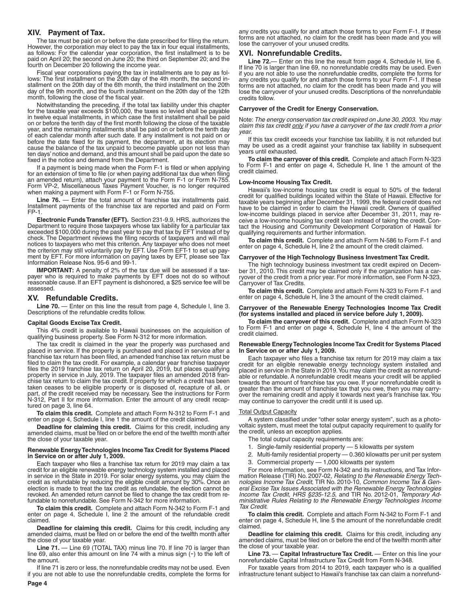### **XIV. Payment of Tax.**

The tax must be paid on or before the date prescribed for filing the return. However, the corporation may elect to pay the tax in four equal installments, as follows: For the calendar year corporation, the first installment is to be paid on April 20; the second on June 20; the third on September 20; and the fourth on December 20 following the income year.

Fiscal year corporations paying the tax in installments are to pay as follows: The first installment on the 20th day of the 4th month, the second installment on the 20th day of the 6th month, the third installment on the 20th day of the 9th month, and the fourth installment on the 20th day of the 12th month, following the close of the fiscal year.

Notwithstanding the preceding, if the total tax liability under this chapter for the taxable year exceeds \$100,000, the taxes so levied shall be payable in twelve equal installments, in which case the first installment shall be paid on or before the tenth day of the first month following the close of the taxable year, and the remaining installments shall be paid on or before the tenth day of each calendar month after such date. If any installment is not paid on or before the date fixed for its payment, the department, at its election may cause the balance of the tax unpaid to become payable upon not less than ten days' notice and demand, and this amount shall be paid upon the date so fixed in the notice and demand from the Department.

If a payment is being made when the Form F-1 is filed or when applying for an extension of time to file (or when paying additional tax due when filing an amended return), attach your payment to the Form F-1 or Form N-755. Form VP-2, Miscellaneous Taxes Payment Voucher, is no longer required when making a payment with Form F-1 or Form N-755.

Line 76. — Enter the total amount of franchise tax installments paid. Installment payments of the franchise tax are reported and paid on Form FP-1.

**Electronic Funds Transfer (EFT).** Section 231-9.9, HRS, authorizes the Department to require those taxpayers whose tax liability for a particular tax exceeded \$100,000 during the past year to pay that tax by EFT instead of by check. The Department reviews the filing records of taxpayers and will mail notices to taxpayers who met this criterion. Any taxpayer who does not meet the criterion may still voluntarily pay by EFT. Use Form EFT-1 to set up payment by EFT. For more information on paying taxes by EFT, please see Tax Information Release Nos. 95-6 and 99-1.

**IMPORTANT:** A penalty of 2% of the tax due will be assessed if a taxpayer who is required to make payments by EFT does not do so without reasonable cause. If an EFT payment is dishonored, a \$25 service fee will be assessed.

### **XV. Refundable Credits.**

Line 70. — Enter on this line the result from page 4, Schedule I, line 3. Descriptions of the refundable credits follow.

#### **Capital Goods Excise Tax Credit.**

This 4% credit is available to Hawaii businesses on the acquisition of qualifying business property. See Form N-312 for more information.

The tax credit is claimed in the year the property was purchased and placed in service. If the property is purchased and placed in service after a franchise tax return has been filed, an amended franchise tax return must be filed to claim the tax credit. For example, a calendar year franchise taxpayer files the 2019 franchise tax return on April 20, 2019, but places qualifying property in service in July, 2019. The taxpayer files an amended 2018 franchise tax return to claim the tax credit. If property for which a credit has been taken ceases to be eligible property or is disposed of, recapture of all, or part, of the credit received may be necessary. See the instructions for Form N-312, Part II for more information. Enter the amount of any credit recaptured on page 3, line 64.

**To claim this credit.** Complete and attach Form N-312 to Form F-1 and enter on page 4, Schedule I, line 1 the amount of the credit claimed.

**Deadline for claiming this credit.** Claims for this credit, including any amended claims, must be filed on or before the end of the twelfth month after the close of your taxable year.

#### **Renewable Energy Technologies Income Tax Credit for Systems Placed in Service on or after July 1, 2009.**

Each taxpayer who files a franchise tax return for 2019 may claim a tax credit for an eligible renewable energy technology system installed and placed in service in the State in 2019. For solar energy systems, you may claim the credit as refundable by reducing the eligible credit amount by 30%. Once an election is made to treat the tax credit as refundable, the election cannot be revoked. An amended return cannot be filed to change the tax credit from refundable to nonrefundable. See Form N-342 for more information.

**To claim this credit.** Complete and attach Form N-342 to Form F-1 and enter on page 4, Schedule I, line 2 the amount of the refundable credit claimed.

**Deadline for claiming this credit.** Claims for this credit, including any amended claims, must be filed on or before the end of the twelfth month after the close of your taxable year.

**Line 71.** — Line 69 (TOTAL TAX) minus line 70. If line 70 is larger than line 69, also enter this amount on line 74 with a minus sign (-) to the left of the amount.

If line 71 is zero or less, the nonrefundable credits may not be used. Even if you are not able to use the nonrefundable credits, complete the forms for any credits you qualify for and attach those forms to your Form F-1. If these forms are not attached, no claim for the credit has been made and you will lose the carryover of your unused credits.

### **XVI. Nonrefundable Credits.**

**Line 72.**— Enter on this line the result from page 4, Schedule H, line 6. If line 70 is larger than line 69, no nonrefundable credits may be used. Even if you are not able to use the nonrefundable credits, complete the forms for any credits you qualify for and attach those forms to your Form F-1. If these forms are not attached, no claim for the credit has been made and you will lose the carryover of your unused credits. Descriptions of the nonrefundable credits follow.

#### **Carryover of the Credit for Energy Conservation.**

Note: *The energy conservation tax credit expired on June 30, 2003. You may claim this tax credit only if you have a carryover of the tax credit from a prior year.*

If this tax credit exceeds your franchise tax liability, it is not refunded but may be used as a credit against your franchise tax liability in subsequent years until exhausted.

**To claim the carryover of this credit.** Complete and attach Form N-323 to Form F-1 and enter on page 4, Schedule H, line 1 the amount of the credit claimed.

#### **Low-Income Housing Tax Credit.**

Hawaii's low-income housing tax credit is equal to 50% of the federal credit for qualified buildings located within the State of Hawaii. Effective for taxable years beginning after December 31, 1999, the federal credit does not have to be claimed in order to claim the Hawaii credit. Owners of qualified low-income buildings placed in service after December 31, 2011, may receive a low-income housing tax credit loan instead of taking the credit. Contact the Housing and Community Development Corporation of Hawaii for qualifying requirements and further information.

**To claim this credit.** Complete and attach Form N-586 to Form F-1 and enter on page 4, Schedule H, line 2 the amount of the credit claimed.

#### **Carryover of the High Technology Business Investment Tax Credit.**

The high technology business investment tax credit expired on December 31, 2010. This credit may be claimed only if the organization has a carryover of the credit from a prior year. For more information, see Form N-323, Carryover of Tax Credits.

**To claim this credit.** Complete and attach Form N-323 to Form F-1 and enter on page 4, Schedule H, line 3 the amount of the credit claimed.

#### **Carryover of the Renewable Energy Technologies Income Tax Credit (for systems installed and placed in service before July 1, 2009).**

**To claim the carryover of this credit.** Complete and attach Form N-323 to Form F-1 and enter on page 4, Schedule H, line 4 the amount of the credit claimed.

#### **Renewable Energy Technologies Income Tax Credit for Systems Placed In Service on or after July 1, 2009.**

Each taxpayer who files a franchise tax return for 2019 may claim a tax credit for an eligible renewable energy technology system installed and placed in service in the State in 2019. You may claim the credit as nonrefundable or refundable. A nonrefundable credit means your credit will be applied towards the amount of franchise tax you owe. If your nonrefundable credit is greater than the amount of franchise tax that you owe, then you may carryover the remaining credit and apply it towards next year's franchise tax. You may continue to carryover the credit until it is used up.

#### Total Output Capacity

A system classified under "other solar energy system", such as a photovoltaic system, must meet the total output capacity requirement to qualify for the credit, unless an exception applies.

- The total output capacity requirements are:
- 1. Single-family residential property 5 kilowatts per system
- 2. Multi-family residential property 0.360 kilowatts per unit per system
- 3. Commercial property 1,000 kilowatts per system

For more information, see Form N-342 and its instructions, and Tax Information Release (TIR) No. 2007-02, *Relating to the Renewable Energy Technologies Income Tax Credit*, TIR No. 2010-10, *Common Income Tax & General Excise Tax Issues Associated with the Renewable Energy Technologies Income Tax Credit, HRS §235-12.5*, and TIR No. 2012-01, *Temporary Administrative Rules Relating to the Renewable Energy Technologies Income Tax Credit*.

**To claim this credit.** Complete and attach Form N-342 to Form F-1 and enter on page 4, Schedule H, line 5 the amount of the nonrefundable credit claimed.

**Deadline for claiming this credit.** Claims for this credit, including any amended claims, must be filed on or before the end of the twelfth month after the close of your taxable year.

**Line 73.** — **Capital Infrastructure Tax Credit.** — Enter on this line your nonrefundable Capital Infrastructure Tax Credit from Form N-348.

For taxable years from 2014 to 2019, each taxpayer who is a qualified infrastructure tenant subject to Hawaii's franchise tax can claim a nonrefund